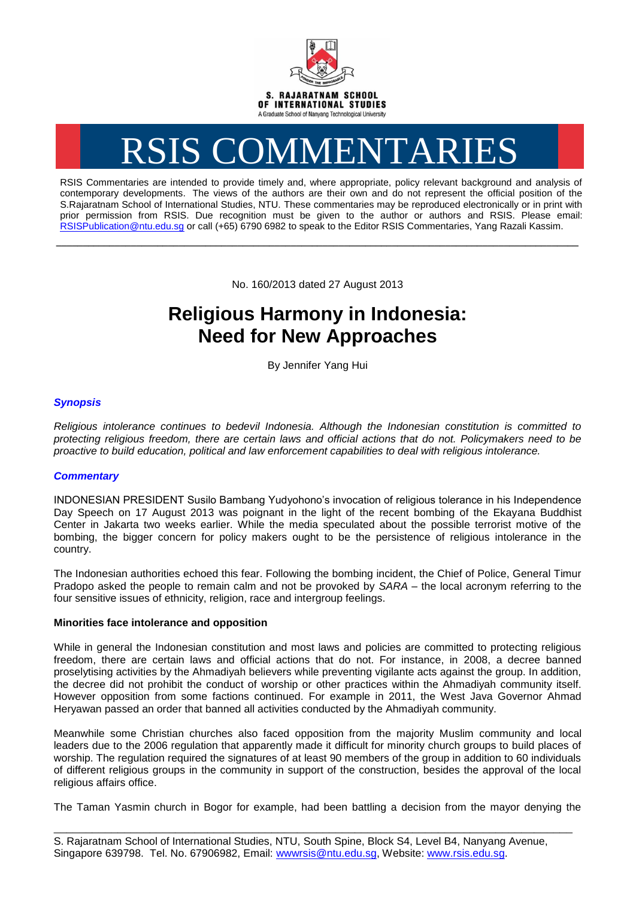

# RSIS COMMENTARIES

RSIS Commentaries are intended to provide timely and, where appropriate, policy relevant background and analysis of contemporary developments. The views of the authors are their own and do not represent the official position of the S.Rajaratnam School of International Studies, NTU. These commentaries may be reproduced electronically or in print with prior permission from RSIS. Due recognition must be given to the author or authors and RSIS. Please email: [RSISPublication@ntu.edu.sg](mailto:RSISPublication@ntu.edu.sg) or call (+65) 6790 6982 to speak to the Editor RSIS Commentaries, Yang Razali Kassim.

No. 160/2013 dated 27 August 2013

**\_\_\_\_\_\_\_\_\_\_\_\_\_\_\_\_\_\_\_\_\_\_\_\_\_\_\_\_\_\_\_\_\_\_\_\_\_\_\_\_\_\_\_\_\_\_\_\_\_\_\_\_\_\_\_\_\_\_\_\_\_\_\_\_\_\_\_\_\_\_\_\_\_\_\_\_\_\_\_\_\_\_\_\_\_\_\_\_\_\_\_\_\_\_\_\_\_\_**

# **Religious Harmony in Indonesia: Need for New Approaches**

By Jennifer Yang Hui

## *Synopsis*

*Religious intolerance continues to bedevil Indonesia. Although the Indonesian constitution is committed to protecting religious freedom, there are certain laws and official actions that do not. Policymakers need to be proactive to build education, political and law enforcement capabilities to deal with religious intolerance.*

### *Commentary*

INDONESIAN PRESIDENT Susilo Bambang Yudyohono's invocation of religious tolerance in his Independence Day Speech on 17 August 2013 was poignant in the light of the recent bombing of the Ekayana Buddhist Center in Jakarta two weeks earlier. While the media speculated about the possible terrorist motive of the bombing, the bigger concern for policy makers ought to be the persistence of religious intolerance in the country.

The Indonesian authorities echoed this fear. Following the bombing incident, the Chief of Police, General Timur Pradopo asked the people to remain calm and not be provoked by *SARA* – the local acronym referring to the four sensitive issues of ethnicity, religion, race and intergroup feelings.

### **Minorities face intolerance and opposition**

While in general the Indonesian constitution and most laws and policies are committed to protecting religious freedom, there are certain laws and official actions that do not. For instance, in 2008, a decree banned proselytising activities by the Ahmadiyah believers while preventing vigilante acts against the group. In addition, the decree did not prohibit the conduct of worship or other practices within the Ahmadiyah community itself. However opposition from some factions continued. For example in 2011, the West Java Governor Ahmad Heryawan passed an order that banned all activities conducted by the Ahmadiyah community.

Meanwhile some Christian churches also faced opposition from the majority Muslim community and local leaders due to the 2006 regulation that apparently made it difficult for minority church groups to build places of worship. The regulation required the signatures of at least 90 members of the group in addition to 60 individuals of different religious groups in the community in support of the construction, besides the approval of the local religious affairs office.

The Taman Yasmin church in Bogor for example, had been battling a decision from the mayor denying the

\_\_\_\_\_\_\_\_\_\_\_\_\_\_\_\_\_\_\_\_\_\_\_\_\_\_\_\_\_\_\_\_\_\_\_\_\_\_\_\_\_\_\_\_\_\_\_\_\_\_\_\_\_\_\_\_\_\_\_\_\_\_\_\_\_\_\_\_\_\_\_\_\_\_\_\_\_\_\_\_\_